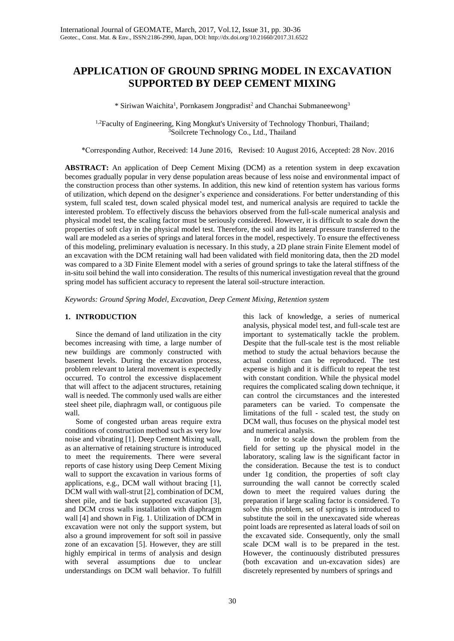# **APPLICATION OF GROUND SPRING MODEL IN EXCAVATION SUPPORTED BY DEEP CEMENT MIXING**

\* Siriwan Waichita<sup>1</sup>, Pornkasem Jongpradist<sup>2</sup> and Chanchai Submaneewong<sup>3</sup>

<sup>1,2</sup>Faculty of Engineering, King Mongkut's University of Technology Thonburi, Thailand; <sup>3</sup>Soilcrete Technology Co., Ltd., Thailand

\*Corresponding Author, Received: 14 June 2016, Revised: 10 August 2016, Accepted: 28 Nov. 2016

**ABSTRACT:** An application of Deep Cement Mixing (DCM) as a retention system in deep excavation becomes gradually popular in very dense population areas because of less noise and environmental impact of the construction process than other systems. In addition, this new kind of retention system has various forms of utilization, which depend on the designer's experience and considerations. For better understanding of this system, full scaled test, down scaled physical model test, and numerical analysis are required to tackle the interested problem. To effectively discuss the behaviors observed from the full-scale numerical analysis and physical model test, the scaling factor must be seriously considered. However, it is difficult to scale down the properties of soft clay in the physical model test. Therefore, the soil and its lateral pressure transferred to the wall are modeled as a series of springs and lateral forces in the model, respectively. To ensure the effectiveness of this modeling, preliminary evaluation is necessary. In this study, a 2D plane strain Finite Element model of an excavation with the DCM retaining wall had been validated with field monitoring data, then the 2D model was compared to a 3D Finite Element model with a series of ground springs to take the lateral stiffness of the in-situ soil behind the wall into consideration. The results of this numerical investigation reveal that the ground spring model has sufficient accuracy to represent the lateral soil-structure interaction.

*Keywords: Ground Spring Model, Excavation, Deep Cement Mixing, Retention system*

## **1. INTRODUCTION**

Since the demand of land utilization in the city becomes increasing with time, a large number of new buildings are commonly constructed with basement levels. During the excavation process, problem relevant to lateral movement is expectedly occurred. To control the excessive displacement that will affect to the adjacent structures, retaining wall is needed. The commonly used walls are either steel sheet pile, diaphragm wall, or contiguous pile wall.

Some of congested urban areas require extra conditions of construction method such as very low noise and vibrating [1]. Deep Cement Mixing wall, as an alternative of retaining structure is introduced to meet the requirements. There were several reports of case history using Deep Cement Mixing wall to support the excavation in various forms of applications, e.g., DCM wall without bracing [1], DCM wall with wall-strut [2], combination of DCM, sheet pile, and tie back supported excavation [3], and DCM cross walls installation with diaphragm wall [4] and shown in Fig. 1. Utilization of DCM in excavation were not only the support system, but also a ground improvement for soft soil in passive zone of an excavation [5]. However, they are still highly empirical in terms of analysis and design with several assumptions due to unclear understandings on DCM wall behavior. To fulfill

this lack of knowledge, a series of numerical analysis, physical model test, and full-scale test are important to systematically tackle the problem. Despite that the full-scale test is the most reliable method to study the actual behaviors because the actual condition can be reproduced. The test expense is high and it is difficult to repeat the test with constant condition. While the physical model requires the complicated scaling down technique, it can control the circumstances and the interested parameters can be varied. To compensate the limitations of the full - scaled test, the study on DCM wall, thus focuses on the physical model test and numerical analysis.

In order to scale down the problem from the field for setting up the physical model in the laboratory, scaling law is the significant factor in the consideration. Because the test is to conduct under 1g condition, the properties of soft clay surrounding the wall cannot be correctly scaled down to meet the required values during the preparation if large scaling factor is considered. To solve this problem, set of springs is introduced to substitute the soil in the unexcavated side whereas point loads are represented as lateral loads of soil on the excavated side. Consequently, only the small scale DCM wall is to be prepared in the test. However, the continuously distributed pressures (both excavation and un-excavation sides) are discretely represented by numbers of springs and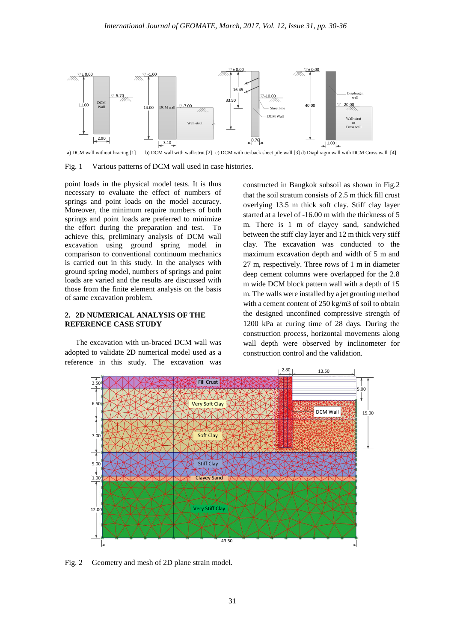

a) DCM wall without bracing [1] b) DCM wall with wall-strut [2] c) DCM with tie-back sheet pile wall [3] d) Diaphragm wall with DCM Cross wall [4]

Fig. 1 Various patterns of DCM wall used in case histories.

point loads in the physical model tests. It is thus necessary to evaluate the effect of numbers of springs and point loads on the model accuracy. Moreover, the minimum require numbers of both springs and point loads are preferred to minimize the effort during the preparation and test. To achieve this, preliminary analysis of DCM wall excavation using ground spring model in comparison to conventional continuum mechanics is carried out in this study. In the analyses with ground spring model, numbers of springs and point loads are varied and the results are discussed with those from the finite element analysis on the basis of same excavation problem.

## **2. 2D NUMERICAL ANALYSIS OF THE REFERENCE CASE STUDY**

The excavation with un-braced DCM wall was adopted to validate 2D numerical model used as a reference in this study. The excavation was constructed in Bangkok subsoil as shown in Fig.2 that the soil stratum consists of 2.5 m thick fill crust overlying 13.5 m thick soft clay. Stiff clay layer started at a level of -16.00 m with the thickness of 5 m. There is 1 m of clayey sand, sandwiched between the stiff clay layer and 12 m thick very stiff clay. The excavation was conducted to the maximum excavation depth and width of 5 m and 27 m, respectively. Three rows of 1 m in diameter deep cement columns were overlapped for the 2.8 m wide DCM block pattern wall with a depth of 15 m. The walls were installed by a jet grouting method with a cement content of 250 kg/m3 of soil to obtain the designed unconfined compressive strength of 1200 kPa at curing time of 28 days. During the construction process, horizontal movements along wall depth were observed by inclinometer for construction control and the validation.



Fig. 2 Geometry and mesh of 2D plane strain model.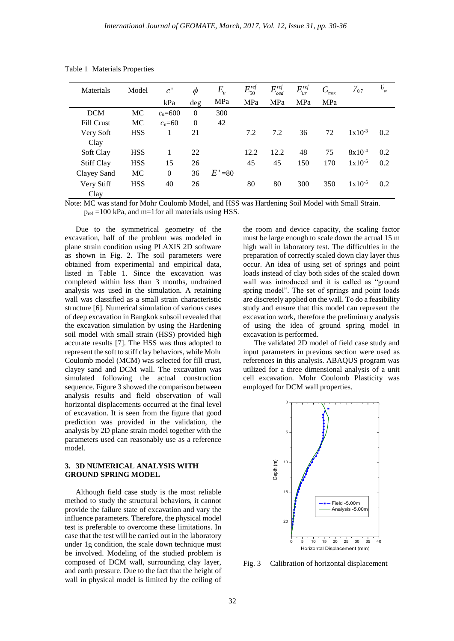| Materials         | Model      | c'          | $\phi$   | $E_{\mu}$ | $E_{50}^{ref}$ | $E_{oed}^{ref}$ | $E_{ur}^{ref}$ | G<br>max | $\gamma_{0.7}$ | $\upsilon$<br>ur |
|-------------------|------------|-------------|----------|-----------|----------------|-----------------|----------------|----------|----------------|------------------|
|                   |            | kPa         | deg      | MPa       | MPa            | MPa             | MPa            | MPa      |                |                  |
| <b>DCM</b>        | MC         | $c_u = 600$ | $\Omega$ | 300       |                |                 |                |          |                |                  |
| <b>Fill Crust</b> | MC         | $cu=60$     | $\Omega$ | 42        |                |                 |                |          |                |                  |
| Very Soft         | <b>HSS</b> |             | 21       |           | 7.2            | 7.2             | 36             | 72       | $1x10^{-3}$    | 0.2              |
| Clay              |            |             |          |           |                |                 |                |          |                |                  |
| Soft Clay         | <b>HSS</b> | 1           | 22       |           | 12.2           | 12.2            | 48             | 75       | $8x10^{-4}$    | 0.2              |
| <b>Stiff Clay</b> | <b>HSS</b> | 15          | 26       |           | 45             | 45              | 150            | 170      | $1x10^{-5}$    | 0.2              |
| Clayey Sand       | MC         | $\Omega$    | 36       | $E' = 80$ |                |                 |                |          |                |                  |
| Very Stiff        | <b>HSS</b> | 40          | 26       |           | 80             | 80              | 300            | 350      | $1x10^{-5}$    | 0.2              |
| Clay              |            |             |          |           |                |                 |                |          |                |                  |

Table 1 Materials Properties

Note: MC was stand for Mohr Coulomb Model, and HSS was Hardening Soil Model with Small Strain.  $p_{ref} = 100$  kPa, and m=1for all materials using HSS.

Due to the symmetrical geometry of the excavation, half of the problem was modeled in plane strain condition using PLAXIS 2D software as shown in Fig. 2. The soil parameters were obtained from experimental and empirical data, listed in Table 1. Since the excavation was completed within less than 3 months, undrained analysis was used in the simulation. A retaining wall was classified as a small strain characteristic structure [6]. Numerical simulation of various cases of deep excavation in Bangkok subsoil revealed that the excavation simulation by using the Hardening soil model with small strain (HSS) provided high accurate results [7]. The HSS was thus adopted to represent the soft to stiff clay behaviors, while Mohr Coulomb model (MCM) was selected for fill crust, clayey sand and DCM wall. The excavation was simulated following the actual construction sequence. Figure 3 showed the comparison between analysis results and field observation of wall horizontal displacements occurred at the final level of excavation. It is seen from the figure that good prediction was provided in the validation, the analysis by 2D plane strain model together with the parameters used can reasonably use as a reference model.

### **3. 3D NUMERICAL ANALYSIS WITH GROUND SPRING MODEL**

Although field case study is the most reliable method to study the structural behaviors, it cannot provide the failure state of excavation and vary the influence parameters. Therefore, the physical model test is preferable to overcome these limitations. In case that the test will be carried out in the laboratory under 1g condition, the scale down technique must be involved. Modeling of the studied problem is composed of DCM wall, surrounding clay layer, and earth pressure. Due to the fact that the height of wall in physical model is limited by the ceiling of

the room and device capacity, the scaling factor must be large enough to scale down the actual 15 m high wall in laboratory test. The difficulties in the preparation of correctly scaled down clay layer thus occur. An idea of using set of springs and point loads instead of clay both sides of the scaled down wall was introduced and it is called as "ground spring model". The set of springs and point loads are discretely applied on the wall. To do a feasibility study and ensure that this model can represent the excavation work, therefore the preliminary analysis of using the idea of ground spring model in excavation is performed.

The validated 2D model of field case study and input parameters in previous section were used as references in this analysis. ABAQUS program was utilized for a three dimensional analysis of a unit cell excavation. Mohr Coulomb Plasticity was employed for DCM wall properties.



Fig. 3 Calibration of horizontal displacement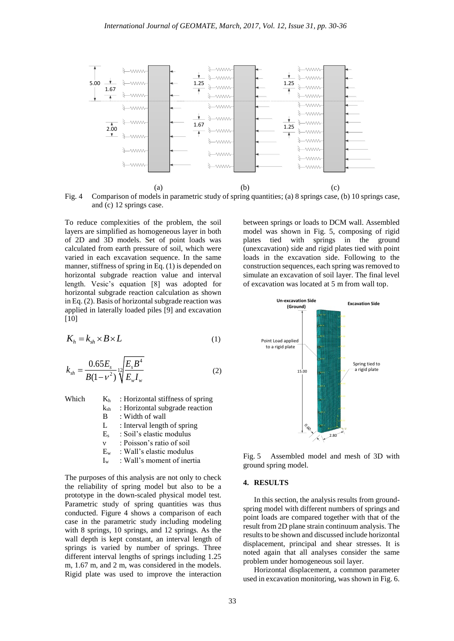

Fig. 4 Comparison of models in parametric study of spring quantities; (a) 8 springs case, (b) 10 springs case, and (c) 12 springs case.

To reduce complexities of the problem, the soil layers are simplified as homogeneous layer in both of 2D and 3D models. Set of point loads was calculated from earth pressure of soil, which were varied in each excavation sequence. In the same manner, stiffness of spring in Eq. (1) is depended on horizontal subgrade reaction value and interval length. Vesic's equation [8] was adopted for horizontal subgrade reaction calculation as shown in Eq. (2). Basis of horizontal subgrade reaction was applied in laterally loaded piles [9] and excavation [10]

$$
K_h = k_{sh} \times B \times L \tag{1}
$$

$$
k_{sh} = \frac{0.65E_s}{B(1 - v^2)} \sqrt[12]{\frac{E_s B^4}{E_w I_w}}
$$
 (2)

| Which | K <sub>h</sub> | : Horizontal stiffness of spring |
|-------|----------------|----------------------------------|
|       | $k_{sh}$       | : Horizontal subgrade reaction   |
|       | B              | : Width of wall                  |
|       | L              | : Interval length of spring      |
|       | $E_{s}$        | : Soil's elastic modulus         |
|       | $\mathbf v$    | : Poisson's ratio of soil        |
|       | $E_{w}$        | : Wall's elastic modulus         |
|       | $I_{w}$        | : Wall's moment of inertia       |
|       |                |                                  |

The purposes of this analysis are not only to check the reliability of spring model but also to be a prototype in the down-scaled physical model test. Parametric study of spring quantities was thus conducted. Figure 4 shows a comparison of each case in the parametric study including modeling with 8 springs, 10 springs, and 12 springs. As the wall depth is kept constant, an interval length of springs is varied by number of springs. Three different interval lengths of springs including 1.25 m, 1.67 m, and 2 m, was considered in the models. Rigid plate was used to improve the interaction between springs or loads to DCM wall. Assembled model was shown in Fig. 5, composing of rigid<br>plates tied with springs in the ground plates tied with springs in the (unexcavation) side and rigid plates tied with point loads in the excavation side. Following to the construction sequences, each spring was removed to simulate an excavation of soil layer. The final level of excavation was located at 5 m from wall top.



Fig. 5 Assembled model and mesh of 3D with ground spring model.

#### **4. RESULTS**

In this section, the analysis results from groundspring model with different numbers of springs and point loads are compared together with that of the result from 2D plane strain continuum analysis. The results to be shown and discussed include horizontal displacement, principal and shear stresses. It is noted again that all analyses consider the same problem under homogeneous soil layer.

Horizontal displacement, a common parameter used in excavation monitoring, was shown in Fig. 6.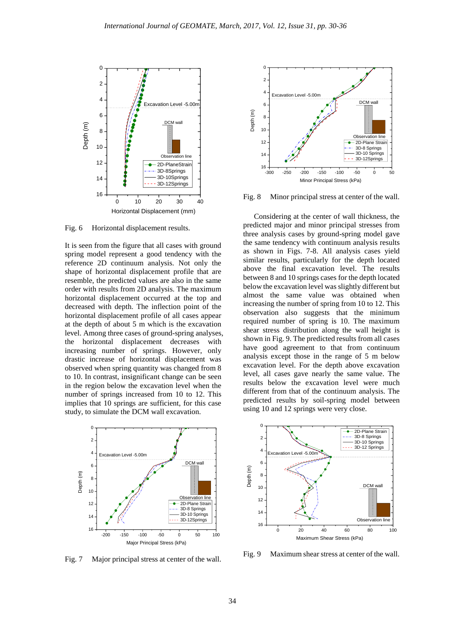

Fig. 6 Horizontal displacement results.

It is seen from the figure that all cases with ground spring model represent a good tendency with the reference 2D continuum analysis. Not only the shape of horizontal displacement profile that are resemble, the predicted values are also in the same order with results from 2D analysis. The maximum horizontal displacement occurred at the top and decreased with depth. The inflection point of the horizontal displacement profile of all cases appear at the depth of about 5 m which is the excavation level. Among three cases of ground-spring analyses, the horizontal displacement decreases with increasing number of springs. However, only drastic increase of horizontal displacement was observed when spring quantity was changed from 8 to 10. In contrast, insignificant change can be seen in the region below the excavation level when the number of springs increased from 10 to 12. This implies that 10 springs are sufficient, for this case study, to simulate the DCM wall excavation.



Fig. 7 Major principal stress at center of the wall.



Fig. 8 Minor principal stress at center of the wall.

Considering at the center of wall thickness, the predicted major and minor principal stresses from three analysis cases by ground-spring model gave the same tendency with continuum analysis results as shown in Figs. 7-8. All analysis cases yield similar results, particularly for the depth located above the final excavation level. The results between 8 and 10 springs cases for the depth located below the excavation level was slightly different but almost the same value was obtained when increasing the number of spring from 10 to 12. This observation also suggests that the minimum required number of spring is 10. The maximum shear stress distribution along the wall height is shown in Fig. 9. The predicted results from all cases have good agreement to that from continuum analysis except those in the range of 5 m below excavation level. For the depth above excavation level, all cases gave nearly the same value. The results below the excavation level were much different from that of the continuum analysis. The predicted results by soil-spring model between using 10 and 12 springs were very close.



Fig. 9 Maximum shear stress at center of the wall.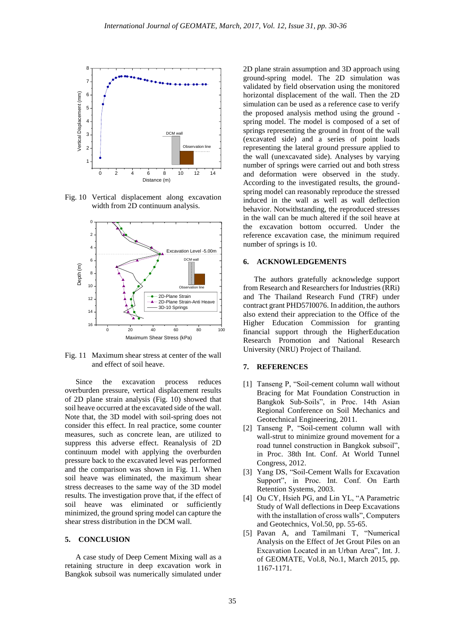

Fig. 10 Vertical displacement along excavation width from 2D continuum analysis.



Fig. 11 Maximum shear stress at center of the wall and effect of soil heave.

Since the excavation process reduces overburden pressure, vertical displacement results of 2D plane strain analysis (Fig. 10) showed that soil heave occurred at the excavated side of the wall. Note that, the 3D model with soil-spring does not consider this effect. In real practice, some counter measures, such as concrete lean, are utilized to suppress this adverse effect. Reanalysis of 2D continuum model with applying the overburden pressure back to the excavated level was performed and the comparison was shown in Fig. 11. When soil heave was eliminated, the maximum shear stress decreases to the same way of the 3D model results. The investigation prove that, if the effect of soil heave was eliminated or sufficiently minimized, the ground spring model can capture the shear stress distribution in the DCM wall.

## **5. CONCLUSION**

A case study of Deep Cement Mixing wall as a retaining structure in deep excavation work in Bangkok subsoil was numerically simulated under

2D plane strain assumption and 3D approach using ground-spring model. The 2D simulation was validated by field observation using the monitored horizontal displacement of the wall. Then the 2D simulation can be used as a reference case to verify the proposed analysis method using the ground spring model. The model is composed of a set of springs representing the ground in front of the wall (excavated side) and a series of point loads representing the lateral ground pressure applied to the wall (unexcavated side). Analyses by varying number of springs were carried out and both stress and deformation were observed in the study. According to the investigated results, the groundspring model can reasonably reproduce the stressed induced in the wall as well as wall deflection behavior. Notwithstanding, the reproduced stresses in the wall can be much altered if the soil heave at the excavation bottom occurred. Under the reference excavation case, the minimum required number of springs is 10.

## **6. ACKNOWLEDGEMENTS**

The authors gratefully acknowledge support from Research and Researchers for Industries (RRi) and The Thailand Research Fund (TRF) under contract grant PHD57I0076. In addition, the authors also extend their appreciation to the Office of the Higher Education Commission for granting financial support through the HigherEducation Research Promotion and National Research University (NRU) Project of Thailand.

#### **7. REFERENCES**

- [1] Tanseng P, "Soil-cement column wall without Bracing for Mat Foundation Construction in Bangkok Sub-Soils", in Proc. 14th Asian Regional Conference on Soil Mechanics and Geotechnical Engineering, 2011.
- [2] Tanseng P, "Soil-cement column wall with wall-strut to minimize ground movement for a road tunnel construction in Bangkok subsoil", in Proc. 38th Int. Conf. At World Tunnel Congress, 2012.
- [3] Yang DS, "Soil-Cement Walls for Excavation Support", in Proc. Int. Conf. On Earth Retention Systems, 2003.
- [4] Ou CY, Hsieh PG, and Lin YL, "A Parametric Study of Wall deflections in Deep Excavations with the installation of cross walls", Computers and Geotechnics, Vol.50, pp. 55-65.
- [5] Pavan A, and Tamilmani T, "Numerical Analysis on the Effect of Jet Grout Piles on an Excavation Located in an Urban Area", Int. J. of GEOMATE, Vol.8, No.1, March 2015, pp. 1167-1171.